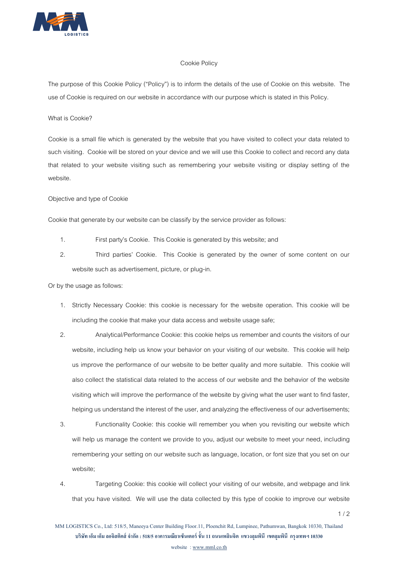

# Cookie Policy

The purpose of this Cookie Policy ("Policy") is to inform the details of the use of Cookie on this website. The use of Cookie is required on our website in accordance with our purpose which is stated in this Policy.

## What is Cookie?

Cookie is a small file which is generated by the website that you have visited to collect your data related to such visiting. Cookie will be stored on your device and we will use this Cookie to collect and record any data that related to your website visiting such as remembering your website visiting or display setting of the website.

## Objective and type of Cookie

Cookie that generate by our website can be classify by the service provider as follows:

- 1. First party's Cookie. This Cookie is generated by this website; and
- 2. Third parties' Cookie. This Cookie is generated by the owner of some content on our website such as advertisement, picture, or plug-in.

#### Or by the usage as follows:

- 1. Strictly Necessary Cookie: this cookie is necessary for the website operation. This cookie will be including the cookie that make your data access and website usage safe;
- 2. Analytical/Performance Cookie: this cookie helps us remember and counts the visitors of our website, including help us know your behavior on your visiting of our website. This cookie will help us improve the performance of our website to be better quality and more suitable. This cookie will also collect the statistical data related to the access of our website and the behavior of the website visiting which will improve the performance of the website by giving what the user want to find faster, helping us understand the interest of the user, and analyzing the effectiveness of our advertisements;
- 3. Functionality Cookie: this cookie will remember you when you revisiting our website which will help us manage the content we provide to you, adjust our website to meet your need, including remembering your setting on our website such as language, location, or font size that you set on our website;
- 4. Targeting Cookie: this cookie will collect your visiting of our website, and webpage and link that you have visited. We will use the data collected by this type of cookie to improve our website